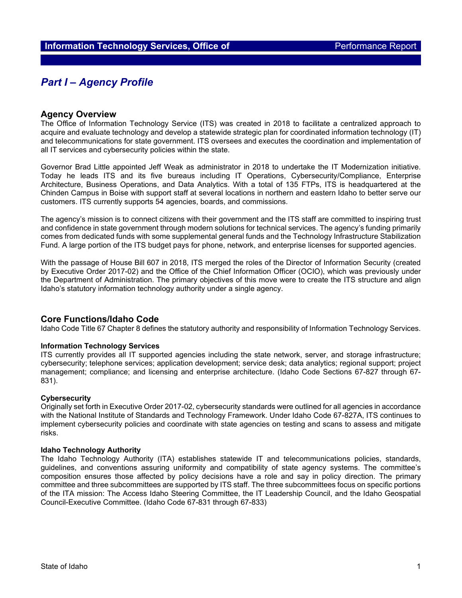# *Part I – Agency Profile*

### **Agency Overview**

The Office of Information Technology Service (ITS) was created in 2018 to facilitate a centralized approach to acquire and evaluate technology and develop a statewide strategic plan for coordinated information technology (IT) and telecommunications for state government. ITS oversees and executes the coordination and implementation of all IT services and cybersecurity policies within the state.

Governor Brad Little appointed Jeff Weak as administrator in 2018 to undertake the IT Modernization initiative. Today he leads ITS and its five bureaus including IT Operations, Cybersecurity/Compliance, Enterprise Architecture, Business Operations, and Data Analytics. With a total of 135 FTPs, ITS is headquartered at the Chinden Campus in Boise with support staff at several locations in northern and eastern Idaho to better serve our customers. ITS currently supports 54 agencies, boards, and commissions.

The agency's mission is to connect citizens with their government and the ITS staff are committed to inspiring trust and confidence in state government through modern solutions for technical services. The agency's funding primarily comes from dedicated funds with some supplemental general funds and the Technology Infrastructure Stabilization Fund. A large portion of the ITS budget pays for phone, network, and enterprise licenses for supported agencies.

With the passage of House Bill 607 in 2018, ITS merged the roles of the Director of Information Security (created by Executive Order 2017-02) and the Office of the Chief Information Officer (OCIO), which was previously under the Department of Administration. The primary objectives of this move were to create the ITS structure and align Idaho's statutory information technology authority under a single agency.

## **Core Functions/Idaho Code**

Idaho Code Title 67 Chapter 8 defines the statutory authority and responsibility of Information Technology Services.

#### **Information Technology Services**

ITS currently provides all IT supported agencies including the state network, server, and storage infrastructure; cybersecurity; telephone services; application development; service desk; data analytics; regional support; project management; compliance; and licensing and enterprise architecture. (Idaho Code Sections 67-827 through 67- 831).

#### **Cybersecurity**

Originally set forth in Executive Order 2017-02, cybersecurity standards were outlined for all agencies in accordance with the National Institute of Standards and Technology Framework. Under Idaho Code 67-827A, ITS continues to implement cybersecurity policies and coordinate with state agencies on testing and scans to assess and mitigate risks.

#### **Idaho Technology Authority**

The Idaho Technology Authority (ITA) establishes statewide IT and telecommunications policies, standards, guidelines, and conventions assuring uniformity and compatibility of state agency systems. The committee's composition ensures those affected by policy decisions have a role and say in policy direction. The primary committee and three subcommittees are supported by ITS staff. The three subcommittees focus on specific portions of the ITA mission: The Access Idaho Steering Committee, the IT Leadership Council, and the Idaho Geospatial Council-Executive Committee. (Idaho Code 67-831 through 67-833)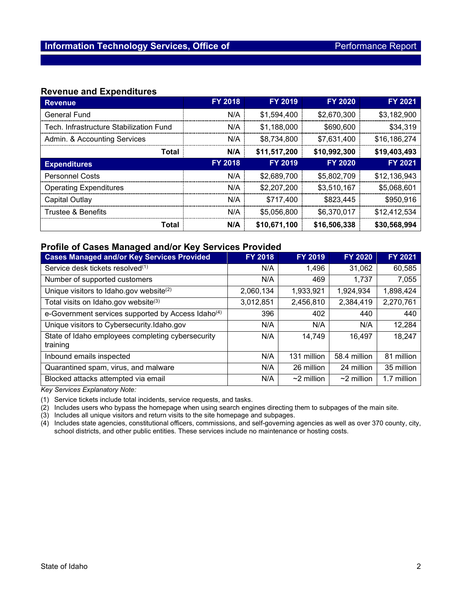## **Revenue and Expenditures**

| <b>Revenue</b>                          | <b>FY 2018</b> | <b>FY 2019</b> | <b>FY 2020</b> | <b>FY 2021</b> |
|-----------------------------------------|----------------|----------------|----------------|----------------|
| <b>General Fund</b>                     | N/A            | \$1,594,400    | \$2,670,300    | \$3,182,900    |
| Tech. Infrastructure Stabilization Fund | N/A            | \$1,188,000    | \$690,600      | \$34,319       |
| Admin. & Accounting Services            | N/A            | \$8,734,800    | \$7,631,400    | \$16,186,274   |
| Total                                   | N/A            | \$11,517,200   | \$10,992,300   | \$19,403,493   |
| <b>Expenditures</b>                     | <b>FY 2018</b> | <b>FY 2019</b> | <b>FY 2020</b> | <b>FY 2021</b> |
| <b>Personnel Costs</b>                  | N/A            | \$2,689,700    | \$5,802,709    | \$12,136,943   |
| <b>Operating Expenditures</b>           | N/A            | \$2,207,200    | \$3,510,167    | \$5,068,601    |
| Capital Outlay                          | N/A            | \$717,400      | \$823,445      | \$950,916      |
| <b>Trustee &amp; Benefits</b>           | N/A            | \$5,056,800    | \$6,370,017    | \$12,412,534   |
| Total                                   | N/A            | \$10,671,100   | \$16,506,338   | \$30,568,994   |

# **Profile of Cases Managed and/or Key Services Provided**

| <b>Cases Managed and/or Key Services Provided</b>              | <b>FY 2018</b> | <b>FY 2019</b>   | <b>FY 2020</b>   | FY 2021     |
|----------------------------------------------------------------|----------------|------------------|------------------|-------------|
| Service desk tickets resolved <sup>(1)</sup>                   | N/A            | 1,496            | 31,062           | 60,585      |
| Number of supported customers                                  | N/A            | 469              | 1,737            | 7,055       |
| Unique visitors to Idaho.gov website(2)                        | 2,060,134      | 1,933,921        | 1,924,934        | 1,898,424   |
| Total visits on Idaho.gov website(3)                           | 3,012,851      | 2,456,810        | 2,384,419        | 2,270,761   |
| e-Government services supported by Access Idaho <sup>(4)</sup> | 396            | 402              | 440              | 440         |
| Unique visitors to Cybersecurity.Idaho.gov                     | N/A            | N/A              | N/A              | 12,284      |
| State of Idaho employees completing cybersecurity<br>training  | N/A            | 14,749           | 16,497           | 18,247      |
| Inbound emails inspected                                       | N/A            | 131 million      | 58.4 million     | 81 million  |
| Quarantined spam, virus, and malware                           | N/A            | 26 million       | 24 million       | 35 million  |
| Blocked attacks attempted via email                            | N/A            | $\sim$ 2 million | $\sim$ 2 million | 1.7 million |

*Key Services Explanatory Note:*

(1) Service tickets include total incidents, service requests, and tasks.

 $(2)$  Includes users who bypass the homepage when using search engines directing them to subpages of the main site.

(3) Includes all unique visitors and return visits to the site homepage and subpages.

(4) Includes state agencies, constitutional officers, commissions, and self-governing agencies as well as over 370 county, city, school districts, and other public entities. These services include no maintenance or hosting costs.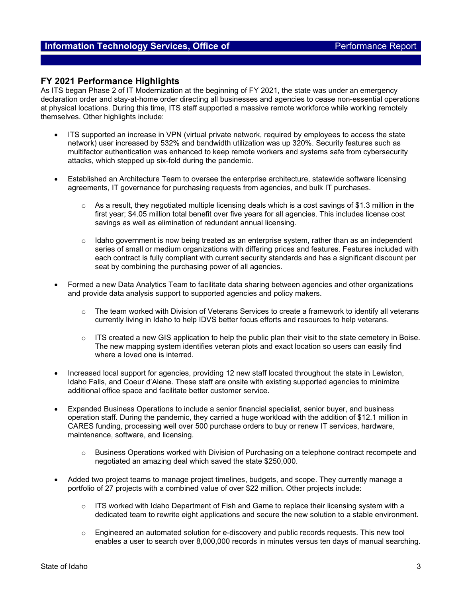## **FY 2021 Performance Highlights**

As ITS began Phase 2 of IT Modernization at the beginning of FY 2021, the state was under an emergency declaration order and stay-at-home order directing all businesses and agencies to cease non-essential operations at physical locations. During this time, ITS staff supported a massive remote workforce while working remotely themselves. Other highlights include:

- ITS supported an increase in VPN (virtual private network, required by employees to access the state network) user increased by 532% and bandwidth utilization was up 320%. Security features such as multifactor authentication was enhanced to keep remote workers and systems safe from cybersecurity attacks, which stepped up six-fold during the pandemic.
- Established an Architecture Team to oversee the enterprise architecture, statewide software licensing agreements, IT governance for purchasing requests from agencies, and bulk IT purchases.
	- o As a result, they negotiated multiple licensing deals which is a cost savings of \$1.3 million in the first year; \$4.05 million total benefit over five years for all agencies. This includes license cost savings as well as elimination of redundant annual licensing.
	- $\circ$  Idaho government is now being treated as an enterprise system, rather than as an independent series of small or medium organizations with differing prices and features. Features included with each contract is fully compliant with current security standards and has a significant discount per seat by combining the purchasing power of all agencies.
- Formed a new Data Analytics Team to facilitate data sharing between agencies and other organizations and provide data analysis support to supported agencies and policy makers.
	- $\circ$  The team worked with Division of Veterans Services to create a framework to identify all veterans currently living in Idaho to help IDVS better focus efforts and resources to help veterans.
	- $\circ$  ITS created a new GIS application to help the public plan their visit to the state cemetery in Boise. The new mapping system identifies veteran plots and exact location so users can easily find where a loved one is interred.
- Increased local support for agencies, providing 12 new staff located throughout the state in Lewiston, Idaho Falls, and Coeur d'Alene. These staff are onsite with existing supported agencies to minimize additional office space and facilitate better customer service.
- Expanded Business Operations to include a senior financial specialist, senior buyer, and business operation staff. During the pandemic, they carried a huge workload with the addition of \$12.1 million in CARES funding, processing well over 500 purchase orders to buy or renew IT services, hardware, maintenance, software, and licensing.
	- $\circ$  Business Operations worked with Division of Purchasing on a telephone contract recompete and negotiated an amazing deal which saved the state \$250,000.
- Added two project teams to manage project timelines, budgets, and scope. They currently manage a portfolio of 27 projects with a combined value of over \$22 million. Other projects include:
	- $\circ$  ITS worked with Idaho Department of Fish and Game to replace their licensing system with a dedicated team to rewrite eight applications and secure the new solution to a stable environment.
	- $\circ$  Engineered an automated solution for e-discovery and public records requests. This new tool enables a user to search over 8,000,000 records in minutes versus ten days of manual searching.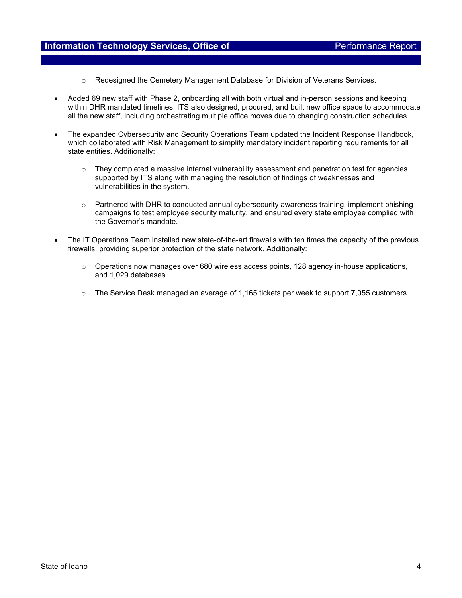- o Redesigned the Cemetery Management Database for Division of Veterans Services.
- Added 69 new staff with Phase 2, onboarding all with both virtual and in-person sessions and keeping within DHR mandated timelines. ITS also designed, procured, and built new office space to accommodate all the new staff, including orchestrating multiple office moves due to changing construction schedules.
- The expanded Cybersecurity and Security Operations Team updated the Incident Response Handbook, which collaborated with Risk Management to simplify mandatory incident reporting requirements for all state entities. Additionally:
	- $\circ$  They completed a massive internal vulnerability assessment and penetration test for agencies supported by ITS along with managing the resolution of findings of weaknesses and vulnerabilities in the system.
	- $\circ$  Partnered with DHR to conducted annual cybersecurity awareness training, implement phishing campaigns to test employee security maturity, and ensured every state employee complied with the Governor's mandate.
- The IT Operations Team installed new state-of-the-art firewalls with ten times the capacity of the previous firewalls, providing superior protection of the state network. Additionally:
	- $\circ$  Operations now manages over 680 wireless access points, 128 agency in-house applications, and 1,029 databases.
	- $\circ$  The Service Desk managed an average of 1,165 tickets per week to support 7,055 customers.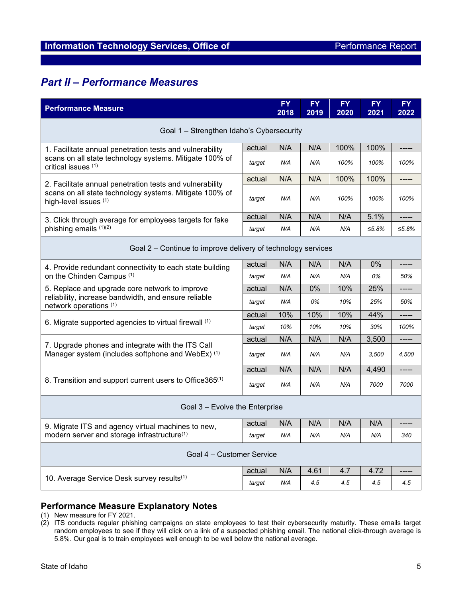# *Part II – Performance Measures*

| <b>Performance Measure</b>                                                                                                                   |        |     | <b>FY</b><br>2019 | <b>FY</b><br>2020 | <b>FY</b><br>2021 | <b>FY</b><br>2022 |  |  |  |
|----------------------------------------------------------------------------------------------------------------------------------------------|--------|-----|-------------------|-------------------|-------------------|-------------------|--|--|--|
| Goal 1 - Strengthen Idaho's Cybersecurity                                                                                                    |        |     |                   |                   |                   |                   |  |  |  |
| 1. Facilitate annual penetration tests and vulnerability                                                                                     | actual | N/A | N/A               | 100%              | 100%              |                   |  |  |  |
| scans on all state technology systems. Mitigate 100% of<br>critical issues (1)                                                               |        | N/A | N/A               | 100%              | 100%              | 100%              |  |  |  |
| 2. Facilitate annual penetration tests and vulnerability<br>scans on all state technology systems. Mitigate 100% of<br>high-level issues (1) |        | N/A | N/A               | 100%              | 100%              |                   |  |  |  |
|                                                                                                                                              |        | N/A | N/A               | 100%              | 100%              | 100%              |  |  |  |
| 3. Click through average for employees targets for fake<br>phishing emails (1)(2)                                                            |        | N/A | N/A               | N/A               | 5.1%              | -----             |  |  |  |
|                                                                                                                                              |        | N/A | N/A               | N/A               | ≤5.8%             | ≤5.8%             |  |  |  |
| Goal 2 – Continue to improve delivery of technology services                                                                                 |        |     |                   |                   |                   |                   |  |  |  |
| 4. Provide redundant connectivity to each state building                                                                                     | actual | N/A | N/A               | N/A               | 0%                | -----             |  |  |  |
| on the Chinden Campus (1)                                                                                                                    | target | N/A | N/A               | N/A               | 0%                | 50%               |  |  |  |
| 5. Replace and upgrade core network to improve                                                                                               | actual | N/A | 0%                | 10%               | 25%               |                   |  |  |  |
| reliability, increase bandwidth, and ensure reliable<br>network operations (1)                                                               | target | N/A | 0%                | 10%               | 25%               | 50%               |  |  |  |
|                                                                                                                                              | actual | 10% | 10%               | 10%               | 44%               | -----             |  |  |  |
| 6. Migrate supported agencies to virtual firewall (1)                                                                                        | target | 10% | 10%               | 10%               | 30%               | 100%              |  |  |  |
|                                                                                                                                              | actual | N/A | N/A               | N/A               | 3,500             | -----             |  |  |  |
| 7. Upgrade phones and integrate with the ITS Call<br>Manager system (includes softphone and WebEx) (1)                                       |        | N/A | N/A               | N/A               | 3,500             | 4,500             |  |  |  |
|                                                                                                                                              | actual | N/A | N/A               | N/A               | 4,490             | -----             |  |  |  |
| 8. Transition and support current users to Office 365 <sup>(1)</sup>                                                                         |        | N/A | N/A               | N/A               | 7000              | 7000              |  |  |  |
| Goal 3 - Evolve the Enterprise                                                                                                               |        |     |                   |                   |                   |                   |  |  |  |
| 9. Migrate ITS and agency virtual machines to new,<br>modern server and storage infrastructure(1)                                            |        | N/A | N/A               | N/A               | N/A               |                   |  |  |  |
|                                                                                                                                              |        | N/A | N/A               | N/A               | N/A               | 340               |  |  |  |
| Goal 4 - Customer Service                                                                                                                    |        |     |                   |                   |                   |                   |  |  |  |
|                                                                                                                                              | actual | N/A | 4.61              | 4.7               | 4.72              | -----             |  |  |  |
| 10. Average Service Desk survey results <sup>(1)</sup>                                                                                       |        | N/A | 4.5               | 4.5               | 4.5               | 4.5               |  |  |  |

# **Performance Measure Explanatory Notes**

- (1) New measure for FY 2021.
- $(2)$  ITS conducts regular phishing campaigns on state employees to test their cybersecurity maturity. These emails target random employees to see if they will click on a link of a suspected phishing email. The national click-through average is 5.8%. Our goal is to train employees well enough to be well below the national average.